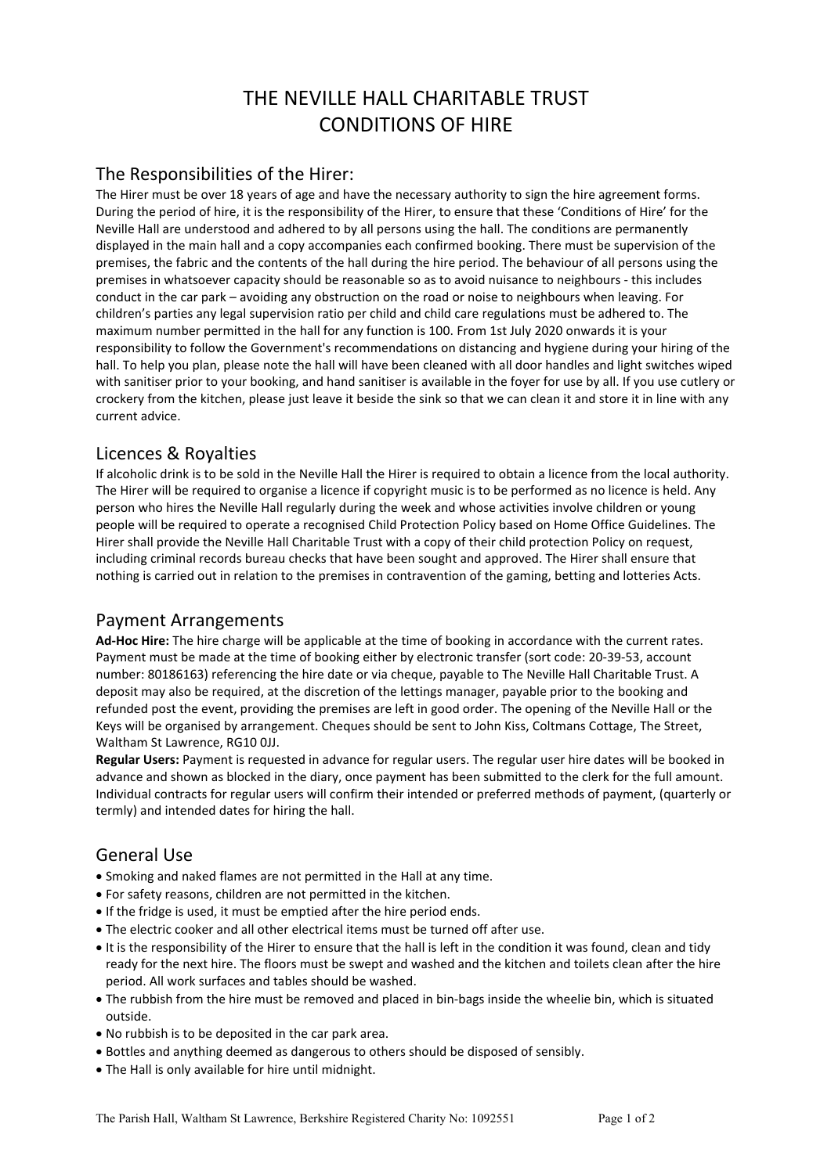# THE NEVILLE HALL CHARITABLE TRUST CONDITIONS OF HIRE

#### The Responsibilities of the Hirer:

The Hirer must be over 18 years of age and have the necessary authority to sign the hire agreement forms. During the period of hire, it is the responsibility of the Hirer, to ensure that these 'Conditions of Hire' for the Neville Hall are understood and adhered to by all persons using the hall. The conditions are permanently displayed in the main hall and a copy accompanies each confirmed booking. There must be supervision of the premises, the fabric and the contents of the hall during the hire period. The behaviour of all persons using the premises in whatsoever capacity should be reasonable so as to avoid nuisance to neighbours - this includes conduct in the car park – avoiding any obstruction on the road or noise to neighbours when leaving. For children's parties any legal supervision ratio per child and child care regulations must be adhered to. The maximum number permitted in the hall for any function is 100. From 1st July 2020 onwards it is your responsibility to follow the Government's recommendations on distancing and hygiene during your hiring of the hall. To help you plan, please note the hall will have been cleaned with all door handles and light switches wiped with sanitiser prior to your booking, and hand sanitiser is available in the foyer for use by all. If you use cutlery or crockery from the kitchen, please just leave it beside the sink so that we can clean it and store it in line with any current advice.

# Licences & Royalties

If alcoholic drink is to be sold in the Neville Hall the Hirer is required to obtain a licence from the local authority. The Hirer will be required to organise a licence if copyright music is to be performed as no licence is held. Any person who hires the Neville Hall regularly during the week and whose activities involve children or young people will be required to operate a recognised Child Protection Policy based on Home Office Guidelines. The Hirer shall provide the Neville Hall Charitable Trust with a copy of their child protection Policy on request, including criminal records bureau checks that have been sought and approved. The Hirer shall ensure that nothing is carried out in relation to the premises in contravention of the gaming, betting and lotteries Acts.

## Payment Arrangements

**Ad-Hoc Hire:** The hire charge will be applicable at the time of booking in accordance with the current rates. Payment must be made at the time of booking either by electronic transfer (sort code: 20-39-53, account number: 80186163) referencing the hire date or via cheque, payable to The Neville Hall Charitable Trust. A deposit may also be required, at the discretion of the lettings manager, payable prior to the booking and refunded post the event, providing the premises are left in good order. The opening of the Neville Hall or the Keys will be organised by arrangement. Cheques should be sent to John Kiss, Coltmans Cottage, The Street, Waltham St Lawrence, RG10 0JJ.

**Regular Users:** Payment is requested in advance for regular users. The regular user hire dates will be booked in advance and shown as blocked in the diary, once payment has been submitted to the clerk for the full amount. Individual contracts for regular users will confirm their intended or preferred methods of payment, (quarterly or termly) and intended dates for hiring the hall.

# General Use

- Smoking and naked flames are not permitted in the Hall at any time.
- For safety reasons, children are not permitted in the kitchen.
- If the fridge is used, it must be emptied after the hire period ends.
- The electric cooker and all other electrical items must be turned off after use.
- It is the responsibility of the Hirer to ensure that the hall is left in the condition it was found, clean and tidy ready for the next hire. The floors must be swept and washed and the kitchen and toilets clean after the hire period. All work surfaces and tables should be washed.
- The rubbish from the hire must be removed and placed in bin-bags inside the wheelie bin, which is situated outside.
- No rubbish is to be deposited in the car park area.
- Bottles and anything deemed as dangerous to others should be disposed of sensibly.
- The Hall is only available for hire until midnight.